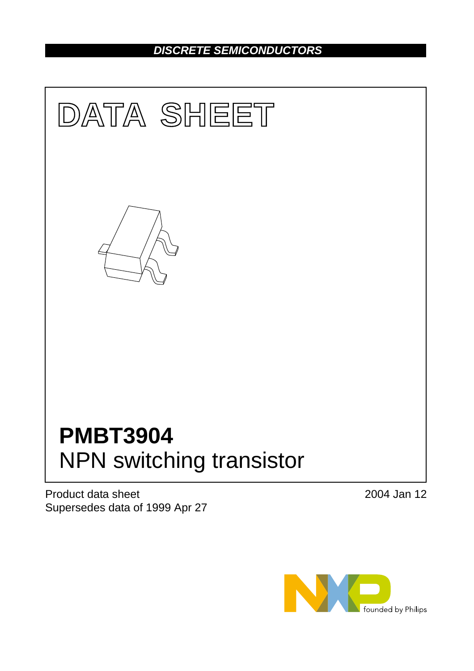## *DISCRETE SEMICONDUCTORS*



Product data sheet Supersedes data of 1999 Apr 27 2004 Jan 12

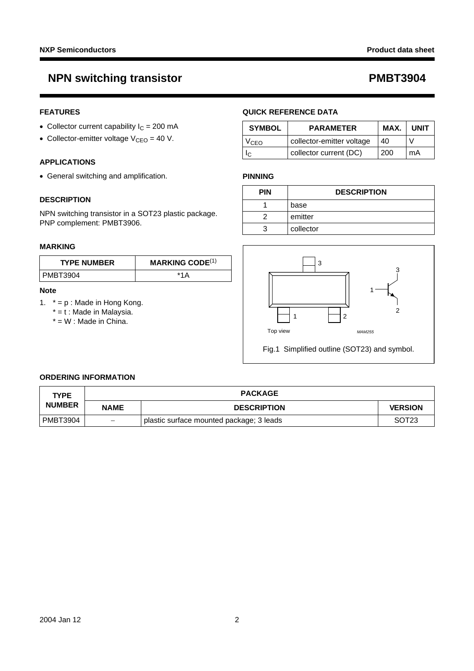## **NPN switching transistor CONSERVITY RESOURCE AT A PMBT3904**

### **FEATURES**

- Collector current capability  $I_C = 200$  mA
- Collector-emitter voltage  $V_{CEO} = 40 V$ .

### **APPLICATIONS**

• General switching and amplification.

### **DESCRIPTION**

NPN switching transistor in a SOT23 plastic package. PNP complement: PMBT3906.

### **MARKING**

| <b>TYPE NUMBER</b> | <b>MARKING CODE</b> <sup>(1)</sup> |
|--------------------|------------------------------------|
| PMBT3904           | *1 Δ                               |

### **Note**

- <span id="page-1-0"></span>1.  $* = p$  : Made in Hong Kong.
	- $* = t$  : Made in Malaysia.
	- $* = W$  : Made in China.

### **QUICK REFERENCE DATA**

| <b>SYMBOL</b> | <b>PARAMETER</b>          | MAX. | <b>UNIT</b> |
|---------------|---------------------------|------|-------------|
| VCEO          | collector-emitter voltage | 40   |             |
|               | collector current (DC)    | 200  | mA          |

### **PINNING**

| <b>PIN</b> | <b>DESCRIPTION</b> |
|------------|--------------------|
|            | base               |
|            | emitter            |
|            | collector          |



### **ORDERING INFORMATION**

| <b>TYPE</b>   |                          | <b>PACKAGE</b>                           |                   |
|---------------|--------------------------|------------------------------------------|-------------------|
| <b>NUMBER</b> | <b>NAME</b>              | <b>VERSION</b><br><b>DESCRIPTION</b>     |                   |
| PMBT3904      | $\overline{\phantom{m}}$ | plastic surface mounted package; 3 leads | SOT <sub>23</sub> |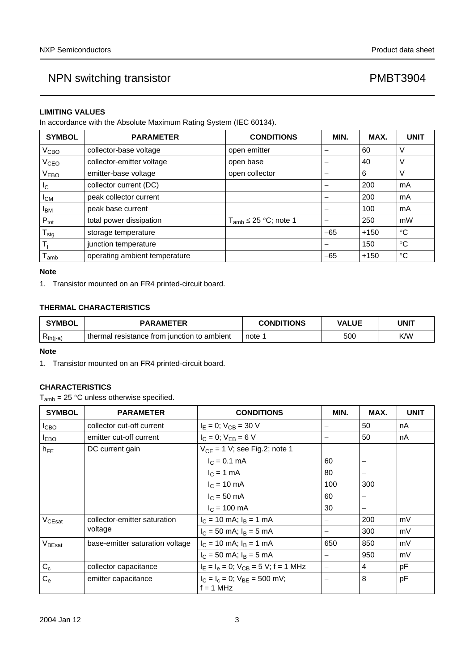### **LIMITING VALUES**

In accordance with the Absolute Maximum Rating System (IEC 60134).

| <b>SYMBOL</b>    | <b>PARAMETER</b>              | <b>CONDITIONS</b>            | MIN.  | MAX.   | <b>UNIT</b> |
|------------------|-------------------------------|------------------------------|-------|--------|-------------|
| V <sub>CBO</sub> | collector-base voltage        | open emitter                 |       | 60     | ν           |
| V <sub>CEO</sub> | collector-emitter voltage     | open base                    |       | 40     | ν           |
| V <sub>EBO</sub> | emitter-base voltage          | open collector               |       | 6      | V           |
| I <sub>C</sub>   | collector current (DC)        |                              |       | 200    | mA          |
| $I_{CM}$         | peak collector current        |                              |       | 200    | mA          |
| <b>IBM</b>       | peak base current             |                              |       | 100    | mA          |
| $P_{\text{tot}}$ | total power dissipation       | $T_{amb} \leq 25$ °C; note 1 |       | 250    | mW          |
| $T_{\text{stg}}$ | storage temperature           |                              | $-65$ | $+150$ | $^{\circ}C$ |
| T,               | junction temperature          |                              |       | 150    | °C          |
| l amb            | operating ambient temperature |                              | $-65$ | $+150$ | °C          |

### **Note**

<span id="page-2-0"></span>1. Transistor mounted on an FR4 printed-circuit board.

### **THERMAL CHARACTERISTICS**

| <b>SYMBOL</b> | <b>PARAMETER</b>                            | <b>CONDITIONS</b> | <b>VALUE</b> | UNIT |
|---------------|---------------------------------------------|-------------------|--------------|------|
| $R_{th(j-a)}$ | thermal resistance from junction to ambient | note              | 500          | K/W  |

### **Note**

<span id="page-2-1"></span>1. Transistor mounted on an FR4 printed-circuit board.

### **CHARACTERISTICS**

 $T_{amb}$  = 25 °C unless otherwise specified.

| <b>SYMBOL</b>      | <b>PARAMETER</b>                | <b>CONDITIONS</b>                                   | MIN.                     | MAX. | <b>UNIT</b> |
|--------------------|---------------------------------|-----------------------------------------------------|--------------------------|------|-------------|
| I <sub>СВО</sub>   | collector cut-off current       | $I_E = 0$ ; $V_{CB} = 30$ V                         |                          | 50   | nA          |
| <b>I</b> EBO       | emitter cut-off current         | $I_C = 0$ ; $V_{EB} = 6 V$                          | $\overline{\phantom{0}}$ | 50   | nA          |
| $h_{FE}$           | DC current gain                 | $V_{CE}$ = 1 V; see Fig.2; note 1                   |                          |      |             |
|                    |                                 | $I_C = 0.1$ mA                                      | 60                       |      |             |
|                    |                                 | $I_C = 1$ mA                                        | 80                       |      |             |
|                    |                                 | $I_C = 10 \text{ mA}$                               | 100                      | 300  |             |
|                    |                                 | $I_C = 50$ mA                                       | 60                       |      |             |
|                    |                                 | $I_C = 100 \text{ mA}$                              | 30                       |      |             |
| V <sub>CEsat</sub> | collector-emitter saturation    | $I_C = 10$ mA; $I_B = 1$ mA                         |                          | 200  | mV          |
|                    | voltage                         | $I_C = 50$ mA; $I_B = 5$ mA                         |                          | 300  | mV          |
| V <sub>BEsat</sub> | base-emitter saturation voltage | $I_C = 10$ mA; $I_B = 1$ mA                         | 650                      | 850  | mV          |
|                    |                                 | $I_C = 50$ mA; $I_B = 5$ mA                         |                          | 950  | mV          |
| $C_c$              | collector capacitance           | $I_E = I_e = 0$ ; $V_{CB} = 5$ V; f = 1 MHz         | $\overline{\phantom{0}}$ | 4    | pF          |
| $C_{\rm e}$        | emitter capacitance             | $I_C = I_c = 0$ ; $V_{BF} = 500$ mV;<br>$f = 1$ MHz |                          | 8    | pF          |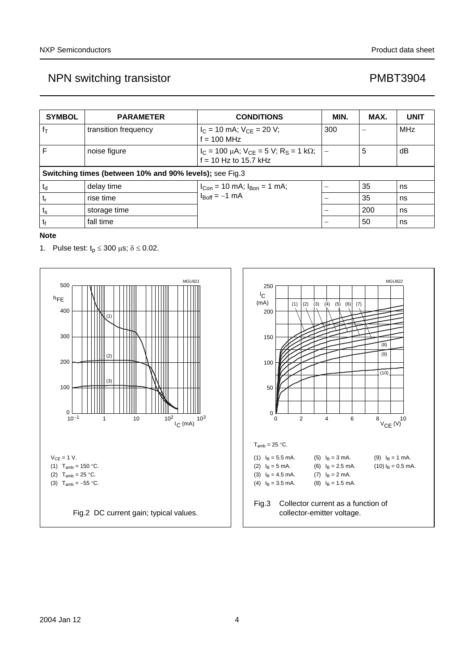| <b>SYMBOL</b>  | <b>PARAMETER</b>                                        | <b>CONDITIONS</b>                                                                      | MIN. | MAX. | <b>UNIT</b> |
|----------------|---------------------------------------------------------|----------------------------------------------------------------------------------------|------|------|-------------|
| $f_{\text{T}}$ | transition frequency                                    | $I_C = 10$ mA; $V_{CE} = 20$ V;<br>$f = 100$ MHz                                       | 300  |      | <b>MHz</b>  |
| F              | noise figure                                            | $I_C = 100 \mu A$ ; $V_{CE} = 5 V$ ; R <sub>S</sub> = 1 kΩ;<br>$f = 10$ Hz to 15.7 kHz |      | 5    | dΒ          |
|                | Switching times (between 10% and 90% levels); see Fig.3 |                                                                                        |      |      |             |
| $t_d$          | delay time                                              | $I_{Con}$ = 10 mA; $I_{Bon}$ = 1 mA;                                                   |      | 35   | ns          |
| $t_{r}$        | rise time                                               | $I_{\text{Boff}} = -1 \text{ mA}$                                                      |      | 35   | ns          |
| $t_{\rm s}$    | storage time                                            |                                                                                        |      | 200  | ns          |
| t              | fall time                                               |                                                                                        |      | 50   | ns          |

### **Note**

<span id="page-3-1"></span>1. Pulse test:  $t_p \le 300 \mu s$ ;  $\delta \le 0.02$ .

<span id="page-3-2"></span><span id="page-3-0"></span>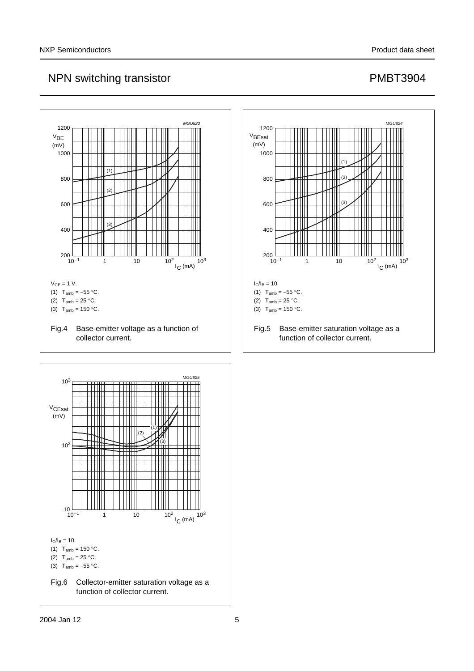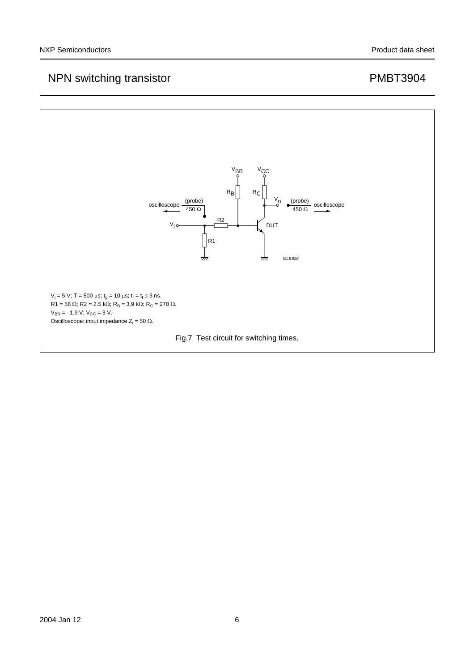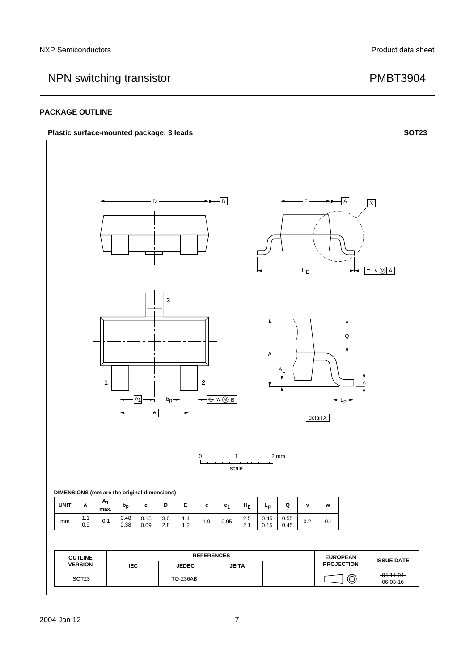### **PACKAGE OUTLINE**

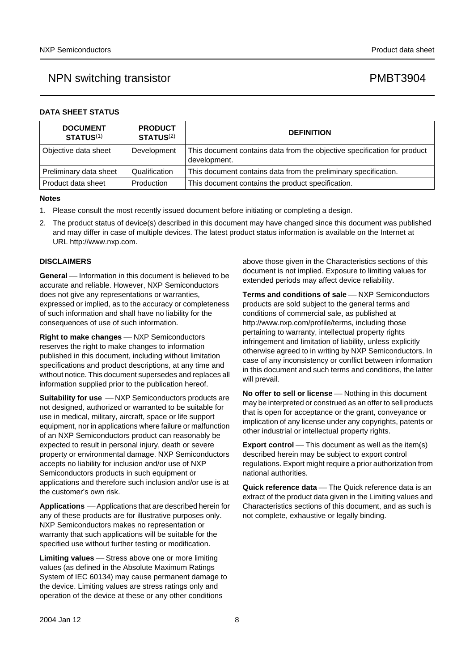|  |  | DATA SHEET STATUS |
|--|--|-------------------|
|--|--|-------------------|

| <b>DOCUMENT</b><br><b>STATUS(1)</b> | <b>PRODUCT</b><br>STATUS <sup>(2)</sup> | <b>DEFINITION</b>                                                                        |
|-------------------------------------|-----------------------------------------|------------------------------------------------------------------------------------------|
| Objective data sheet                | Development                             | This document contains data from the objective specification for product<br>development. |
| Preliminary data sheet              | Qualification                           | This document contains data from the preliminary specification.                          |
| l Product data sheet                | Production                              | This document contains the product specification.                                        |

#### **Notes**

- <span id="page-7-0"></span>1. Please consult the most recently issued document before initiating or completing a design.
- <span id="page-7-1"></span>2. The product status of device(s) described in this document may have changed since this document was published and may differ in case of multiple devices. The latest product status information is available on the Internet at URL http://www.nxp.com.

### **DISCLAIMERS**

**General** – Information in this document is believed to be accurate and reliable. However, NXP Semiconductors does not give any representations or warranties, expressed or implied, as to the accuracy or completeness of such information and shall have no liability for the consequences of use of such information.

**Right to make changes** – NXP Semiconductors reserves the right to make changes to information published in this document, including without limitation specifications and product descriptions, at any time and without notice. This document supersedes and replaces all information supplied prior to the publication hereof.

**Suitability for use**  $-MXP$  Semiconductors products are not designed, authorized or warranted to be suitable for use in medical, military, aircraft, space or life support equipment, nor in applications where failure or malfunction of an NXP Semiconductors product can reasonably be expected to result in personal injury, death or severe property or environmental damage. NXP Semiconductors accepts no liability for inclusion and/or use of NXP Semiconductors products in such equipment or applications and therefore such inclusion and/or use is at the customer's own risk.

**Applications** ⎯ Applications that are described herein for any of these products are for illustrative purposes only. NXP Semiconductors makes no representation or warranty that such applications will be suitable for the specified use without further testing or modification.

**Limiting values** – Stress above one or more limiting values (as defined in the Absolute Maximum Ratings System of IEC 60134) may cause permanent damage to the device. Limiting values are stress ratings only and operation of the device at these or any other conditions

above those given in the Characteristics sections of this document is not implied. Exposure to limiting values for extended periods may affect device reliability.

**Terms and conditions of sale** - NXP Semiconductors products are sold subject to the general terms and conditions of commercial sale, as published at http://www.nxp.com/profile/terms, including those pertaining to warranty, intellectual property rights infringement and limitation of liability, unless explicitly [otherwise agreed to in writing by NXP Semiconductors. In](http://www.nxp.com/profile/terms)  case of any inconsistency or conflict between information in this document and such terms and conditions, the latter will prevail.

**No offer to sell or license** - Nothing in this document may be interpreted or construed as an offer to sell products that is open for acceptance or the grant, conveyance or implication of any license under any copyrights, patents or other industrial or intellectual property rights.

**Export control** — This document as well as the item(s) described herein may be subject to export control regulations. Export might require a prior authorization from national authorities.

**Quick reference data** — The Quick reference data is an extract of the product data given in the Limiting values and Characteristics sections of this document, and as such is not complete, exhaustive or legally binding.